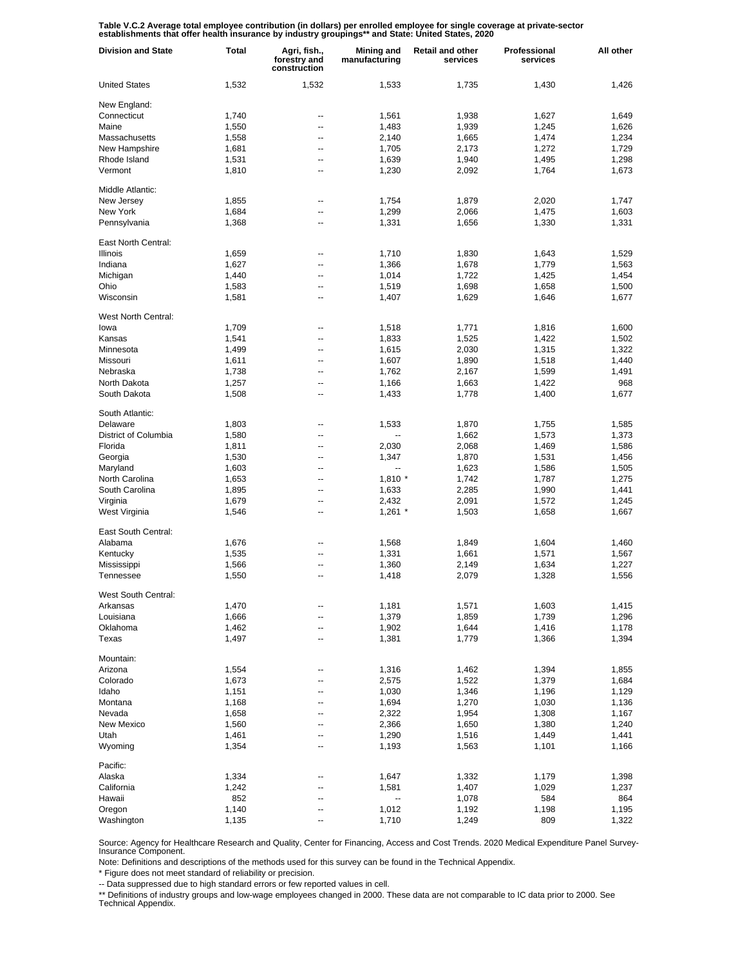Table V.C.2 Average total employee contribution (in dollars) per enrolled employee for single coverage at private-sector<br>establishments that offer health insurance by industry groupings\*\* and State: United States, 2020

| <b>Division and State</b>   | Total | Agri, fish.,<br>forestry and<br>construction | Mining and<br>manufacturing | <b>Retail and other</b><br>services | Professional<br>services | All other      |
|-----------------------------|-------|----------------------------------------------|-----------------------------|-------------------------------------|--------------------------|----------------|
| <b>United States</b>        | 1,532 | 1,532                                        | 1,533                       | 1,735                               | 1,430                    | 1,426          |
| New England:                |       |                                              |                             |                                     |                          |                |
| Connecticut                 | 1,740 | --                                           | 1,561                       | 1,938                               | 1,627                    | 1,649          |
| Maine                       | 1,550 | ٠.                                           | 1,483                       | 1,939                               | 1,245                    | 1,626          |
| Massachusetts               | 1,558 | --                                           | 2,140                       | 1,665                               | 1,474                    | 1,234          |
| New Hampshire               | 1,681 | ٠.                                           | 1,705                       | 2,173                               | 1,272                    | 1,729          |
| Rhode Island                | 1,531 | --                                           | 1,639                       | 1,940                               | 1,495                    | 1,298          |
| Vermont                     | 1,810 | --                                           | 1,230                       | 2,092                               | 1,764                    | 1,673          |
| Middle Atlantic:            |       |                                              |                             |                                     |                          |                |
| New Jersey                  | 1,855 | --                                           | 1,754                       | 1,879                               | 2,020                    | 1,747          |
| New York                    | 1,684 | --                                           | 1,299                       | 2,066                               | 1,475                    | 1,603          |
| Pennsylvania                | 1,368 | ۵.                                           | 1,331                       | 1,656                               | 1,330                    | 1,331          |
| East North Central:         |       |                                              |                             |                                     |                          |                |
| <b>Illinois</b>             | 1,659 | --                                           | 1,710                       | 1,830                               | 1,643                    | 1,529          |
| Indiana                     | 1,627 | --                                           | 1,366                       | 1,678                               | 1,779                    | 1,563          |
| Michigan                    | 1,440 | --                                           | 1,014                       | 1,722                               | 1,425                    | 1,454          |
| Ohio                        | 1,583 | --                                           | 1,519                       | 1,698                               | 1,658                    | 1,500          |
| Wisconsin                   | 1,581 | --                                           | 1,407                       | 1,629                               | 1,646                    | 1,677          |
|                             |       |                                              |                             |                                     |                          |                |
| West North Central:<br>lowa | 1,709 | --                                           | 1,518                       | 1,771                               | 1,816                    | 1,600          |
| Kansas                      | 1,541 | ٠.                                           |                             | 1,525                               | 1,422                    | 1,502          |
| Minnesota                   | 1,499 | --                                           | 1,833<br>1,615              | 2,030                               | 1,315                    | 1,322          |
| Missouri                    |       | ٠.                                           | 1,607                       |                                     | 1,518                    |                |
| Nebraska                    | 1,611 | --                                           | 1,762                       | 1,890                               | 1,599                    | 1,440<br>1,491 |
| North Dakota                | 1,738 | ٠.                                           |                             | 2,167                               |                          | 968            |
|                             | 1,257 |                                              | 1,166                       | 1,663                               | 1,422                    |                |
| South Dakota                | 1,508 | --                                           | 1,433                       | 1,778                               | 1,400                    | 1,677          |
| South Atlantic:             |       |                                              |                             |                                     |                          |                |
| Delaware                    | 1,803 | --                                           | 1,533                       | 1,870                               | 1,755                    | 1,585          |
| District of Columbia        | 1,580 | ۵.                                           |                             | 1,662                               | 1,573                    | 1,373          |
| Florida                     | 1,811 | --                                           | 2,030                       | 2,068                               | 1,469                    | 1,586          |
| Georgia                     | 1,530 | ۵.                                           | 1,347                       | 1,870                               | 1,531                    | 1,456          |
| Maryland                    | 1,603 | -−                                           | ۰.                          | 1,623                               | 1,586                    | 1,505          |
| North Carolina              | 1,653 | ۵.                                           | $1,810$ *                   | 1,742                               | 1,787                    | 1,275          |
| South Carolina              | 1,895 | --                                           | 1,633                       | 2,285                               | 1,990                    | 1,441          |
| Virginia                    | 1,679 | --                                           | 2,432                       | 2,091                               | 1,572                    | 1,245          |
| West Virginia               | 1,546 | --                                           | $1,261$ *                   | 1,503                               | 1,658                    | 1,667          |
| East South Central:         |       |                                              |                             |                                     |                          |                |
| Alabama                     | 1,676 | --                                           | 1,568                       | 1,849                               | 1,604                    | 1,460          |
| Kentucky                    | 1,535 | --                                           | 1,331                       | 1,661                               | 1,571                    | 1,567          |
| Mississippi                 | 1,566 | --                                           | 1,360                       | 2,149                               | 1,634                    | 1,227          |
| Tennessee                   | 1,550 | --                                           | 1,418                       | 2,079                               | 1,328                    | 1,556          |
| West South Central:         |       |                                              |                             |                                     |                          |                |
| Arkansas                    | 1,470 |                                              | 1,181                       | 1,571                               | 1,603                    | 1,415          |
| Louisiana                   | 1,666 | ٠.                                           | 1,379                       | 1,859                               | 1,739                    | 1,296          |
| Oklahoma                    | 1,462 | --                                           | 1,902                       | 1,644                               | 1,416                    | 1,178          |
| Texas                       | 1,497 | ٠.                                           | 1,381                       | 1,779                               | 1,366                    | 1,394          |
| Mountain:                   |       |                                              |                             |                                     |                          |                |
| Arizona                     | 1,554 | --                                           | 1,316                       | 1,462                               | 1,394                    | 1,855          |
| Colorado                    | 1,673 | --                                           | 2,575                       | 1,522                               | 1,379                    | 1,684          |
| Idaho                       | 1,151 | --                                           | 1,030                       | 1,346                               | 1,196                    | 1,129          |
| Montana                     | 1,168 | --                                           | 1,694                       | 1,270                               | 1,030                    | 1,136          |
| Nevada                      | 1,658 | --                                           | 2,322                       | 1,954                               | 1,308                    | 1,167          |
| New Mexico                  | 1,560 | --                                           | 2,366                       | 1,650                               | 1,380                    | 1,240          |
| Utah                        | 1,461 | --                                           | 1,290                       | 1,516                               | 1,449                    | 1,441          |
| Wyoming                     | 1,354 | --                                           | 1,193                       | 1,563                               | 1,101                    | 1,166          |
| Pacific:                    |       |                                              |                             |                                     |                          |                |
| Alaska                      | 1,334 | --                                           | 1,647                       | 1,332                               | 1,179                    | 1,398          |
| California                  | 1,242 | --                                           | 1,581                       | 1,407                               | 1,029                    | 1,237          |
| Hawaii                      | 852   | --                                           | --                          | 1,078                               | 584                      | 864            |
| Oregon                      | 1,140 | --                                           | 1,012                       | 1,192                               | 1,198                    | 1,195          |
| Washington                  | 1,135 | --                                           | 1,710                       | 1,249                               | 809                      | 1,322          |

Source: Agency for Healthcare Research and Quality, Center for Financing, Access and Cost Trends. 2020 Medical Expenditure Panel Survey-Insurance Component.

Note: Definitions and descriptions of the methods used for this survey can be found in the Technical Appendix.

\* Figure does not meet standard of reliability or precision.

-- Data suppressed due to high standard errors or few reported values in cell.

\*\* Definitions of industry groups and low-wage employees changed in 2000. These data are not comparable to IC data prior to 2000. See Technical Appendix.